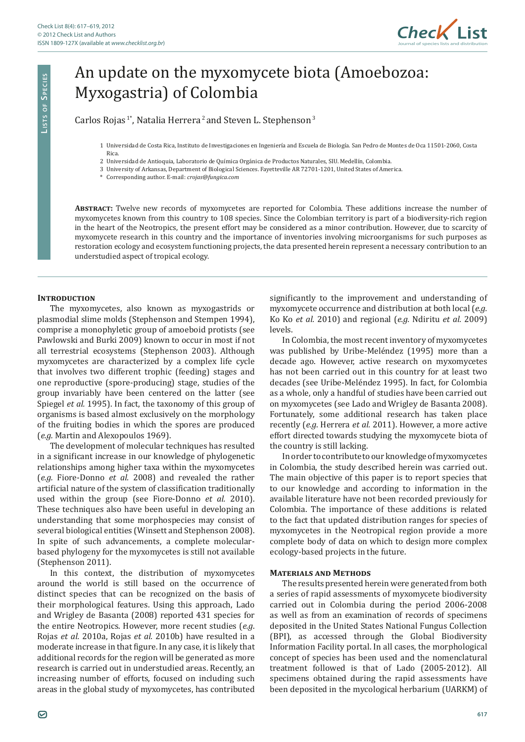

# An update on the myxomycete biota (Amoebozoa: Myxogastria) of Colombia

Carlos Rojas<sup>1\*</sup>, Natalia Herrera<sup>2</sup> and Steven L. Stephenson<sup>3</sup>

- 2 Universidad de Antioquia, Laboratorio de Química Orgánica de Productos Naturales, SIU. Medellín, Colombia.
- 3 University of Arkansas, Department of Biological Sciences. Fayetteville AR 72701-1201, United States of America.
- \* Corresponding author. E-mail: *crojas@fungica.com*

**Abstract:** Twelve new records of myxomycetes are reported for Colombia. These additions increase the number of myxomycetes known from this country to 108 species. Since the Colombian territory is part of a biodiversity-rich region in the heart of the Neotropics, the present effort may be considered as a minor contribution. However, due to scarcity of myxomycete research in this country and the importance of inventories involving microorganisms for such purposes as restoration ecology and ecosystem functioning projects, the data presented herein represent a necessary contribution to an understudied aspect of tropical ecology.

#### **INTRODUCTION**

**Li s t s o f Sp e c i e s**

LISTS OF SPECIES

The myxomycetes, also known as myxogastrids or plasmodial slime molds (Stephenson and Stempen 1994), comprise a monophyletic group of amoeboid protists (see Pawlowski and Burki 2009) known to occur in most if not all terrestrial ecosystems (Stephenson 2003). Although myxomycetes are characterized by a complex life cycle that involves two different trophic (feeding) stages and one reproductive (spore-producing) stage, studies of the group invariably have been centered on the latter (see Spiegel *et al.* 1995). In fact, the taxonomy of this group of organisms is based almost exclusively on the morphology of the fruiting bodies in which the spores are produced (*e.g.* Martin and Alexopoulos 1969).

The development of molecular techniques has resulted in a significant increase in our knowledge of phylogenetic relationships among higher taxa within the myxomycetes (*e.g.* Fiore-Donno *et al.* 2008) and revealed the rather artificial nature of the system of classification traditionally used within the group (see Fiore-Donno *et al.* 2010). These techniques also have been useful in developing an understanding that some morphospecies may consist of several biological entities (Winsett and Stephenson 2008). In spite of such advancements, a complete molecularbased phylogeny for the myxomycetes is still not available (Stephenson 2011).

In this context, the distribution of myxomycetes around the world is still based on the occurrence of distinct species that can be recognized on the basis of their morphological features. Using this approach, Lado and Wrigley de Basanta (2008) reported 431 species for the entire Neotropics. However, more recent studies (*e.g*. Rojas *et al.* 2010a, Rojas *et al.* 2010b) have resulted in a moderate increase in that figure. In any case, it is likely that additional records for the region will be generated as more research is carried out in understudied areas. Recently, an increasing number of efforts, focused on including such areas in the global study of myxomycetes, has contributed

significantly to the improvement and understanding of myxomycete occurrence and distribution at both local (*e.g.* Ko Ko *et al.* 2010) and regional (*e.g.* Ndiritu *et al.* 2009) levels.

In Colombia, the most recent inventory of myxomycetes was published by Uribe-Meléndez (1995) more than a decade ago. However, active research on myxomycetes has not been carried out in this country for at least two decades (see Uribe-Meléndez 1995). In fact, for Colombia as a whole, only a handful of studies have been carried out on myxomycetes (see Lado and Wrigley de Basanta 2008). Fortunately, some additional research has taken place recently (*e.g*. Herrera *et al.* 2011). However, a more active effort directed towards studying the myxomycete biota of the country is still lacking.

In order to contribute to our knowledge of myxomycetes in Colombia, the study described herein was carried out. The main objective of this paper is to report species that to our knowledge and according to information in the available literature have not been recorded previously for Colombia. The importance of these additions is related to the fact that updated distribution ranges for species of myxomycetes in the Neotropical region provide a more complete body of data on which to design more complex ecology-based projects in the future.

#### **Materials and Methods**

The results presented herein were generated from both a series of rapid assessments of myxomycete biodiversity carried out in Colombia during the period 2006-2008 as well as from an examination of records of specimens deposited in the United States National Fungus Collection (BPI), as accessed through the Global Biodiversity Information Facility portal. In all cases, the morphological concept of species has been used and the nomenclatural treatment followed is that of Lado (2005-2012). All specimens obtained during the rapid assessments have been deposited in the mycological herbarium (UARKM) of

<sup>1</sup> Universidad de Costa Rica, Instituto de Investigaciones en Ingeniería and Escuela de Biología. San Pedro de Montes de Oca 11501-2060, Costa Rica.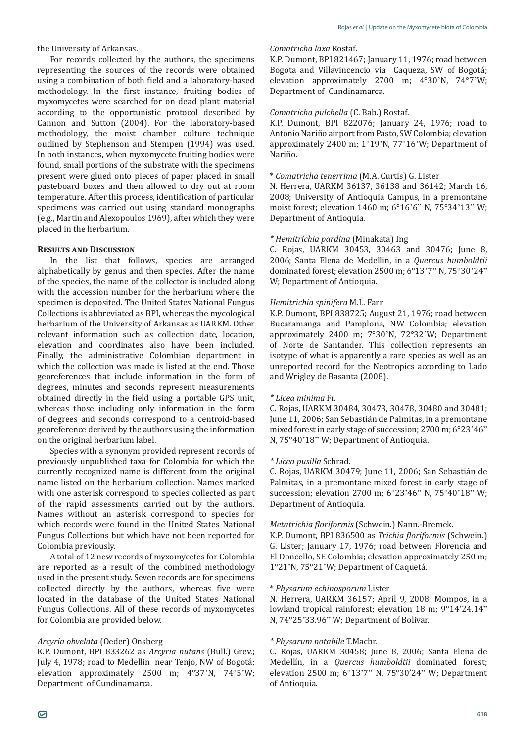For records collected by the authors, the specimens representing the sources of the records were obtained using a combination of both field and a laboratory-based methodology. In the first instance, fruiting bodies of myxomycetes were searched for on dead plant material according to the opportunistic protocol described by Cannon and Sutton (2004). For the laboratory-based methodology, the moist chamber culture technique outlined by Stephenson and Stempen (1994) was used. In both instances, when myxomycete fruiting bodies were found, small portions of the substrate with the specimens present were glued onto pieces of paper placed in small pasteboard boxes and then allowed to dry out at room temperature. After this process, identification of particular specimens was carried out using standard monographs (e.g., Martin and Alexopoulos 1969), after which they were placed in the herbarium.

# **Results and Discussion**

In the list that follows, species are arranged alphabetically by genus and then species. After the name of the species, the name of the collector is included along with the accession number for the herbarium where the specimen is deposited. The United States National Fungus Collections is abbreviated as BPI, whereas the mycological herbarium of the University of Arkansas as UARKM. Other relevant information such as collection date, location, elevation and coordinates also have been included. Finally, the administrative Colombian department in which the collection was made is listed at the end. Those georeferences that include information in the form of degrees, minutes and seconds represent measurements obtained directly in the field using a portable GPS unit, whereas those including only information in the form of degrees and seconds correspond to a centroid-based georeference derived by the authors using the information on the original herbarium label.

Species with a synonym provided represent records of previously unpublished taxa for Colombia for which the currently recognized name is different from the original name listed on the herbarium collection. Names marked with one asterisk correspond to species collected as part of the rapid assessments carried out by the authors. Names without an asterisk correspond to species for which records were found in the United States National Fungus Collections but which have not been reported for Colombia previously.

A total of 12 new records of myxomycetes for Colombia are reported as a result of the combined methodology used in the present study. Seven records are for specimens collected directly by the authors, whereas five were located in the database of the United States National Fungus Collections. All of these records of myxomycetes for Colombia are provided below.

# *Arcyria obvelata* (Oeder) Onsberg

K.P. Dumont, BPI 833262 as *Arcyria nutans* (Bull.) Grev.; July 4, 1978; road to Medellin near Tenjo, NW of Bogotá; elevation approximately 2500 m; 4°37'N, 74°5'W; Department of Cundinamarca.

#### *Comatricha laxa* Rostaf.

K.P. Dumont, BPI 821467; January 11, 1976; road between Bogota and Villavincencio via Caqueza, SW of Bogotá; elevation approximately 2700 m; 4°30'N, 74°7'W; Department of Cundinamarca.

## *Comatricha pulchella* (C. Bab.) Rostaf.

K.P. Dumont, BPI 822076; January 24, 1976; road to Antonio Nariño airport from Pasto, SW Colombia; elevation approximately 2400 m; 1°19'N, 77°16'W; Department of Nariño.

# \* *Comatricha tenerrima* (M.A. Curtis) G. Lister

N. Herrera, UARKM 36137, 36138 and 36142; March 16, 2008; University of Antioquia Campus, in a premontane moist forest; elevation 1460 m; 6°16'6" N, 75°34'13" W; Department of Antioquia.

## *\* Hemitrichia pardina* (Minakata) Ing

C. Rojas, UARKM 30453, 30463 and 30476; June 8, 2006; Santa Elena de Medellin, in a *Quercus humboldtii* dominated forest; elevation 2500 m; 6°13'7" N, 75°30'24" W; Department of Antioquia.

## *Hemitrichia spinifera* M.L. Farr

K.P. Dumont, BPI 838725; August 21, 1976; road between Bucaramanga and Pamplona, NW Colombia; elevation approximately 2400 m; 7°30'N, 72°32'W; Department of Norte de Santander. This collection represents an isotype of what is apparently a rare species as well as an unreported record for the Neotropics according to Lado and Wrigley de Basanta (2008).

#### *\* Licea minima* Fr.

C. Rojas, UARKM 30484, 30473, 30478, 30480 and 30481; June 11, 2006; San Sebastián de Palmitas, in a premontane mixed forest in early stage of succession; 2700 m; 6°23'46" N, 75°40'18" W; Department of Antioquia.

#### *\* Licea pusilla* Schrad.

C. Rojas, UARKM 30479; June 11, 2006; San Sebastián de Palmitas, in a premontane mixed forest in early stage of succession; elevation 2700 m; 6°23'46" N, 75°40'18" W; Department of Antioquia.

# *Metatrichia floriformis* (Schwein.) Nann.-Bremek.

K.P. Dumont, BPI 836500 as *Trichia floriformis* (Schwein.) G. Lister; January 17, 1976; road between Florencia and El Doncello, SE Colombia; elevation approximately 250 m; 1°21'N, 75°21'W; Department of Caquetá.

#### \* *Physarum echinosporum* Lister

N. Herrera, UARKM 36157; April 9, 2008; Mompos, in a lowland tropical rainforest; elevation 18 m; 9°14'24.14" N, 74°25'33.96" W; Department of Bolivar.

## *\* Physarum notabile* T.Macbr.

C. Rojas, UARKM 30458; June 8, 2006; Santa Elena de Medellín, in a *Quercus humboldtii* dominated forest; elevation 2500 m; 6°13'7" N, 75°30'24" W; Department of Antioquia.